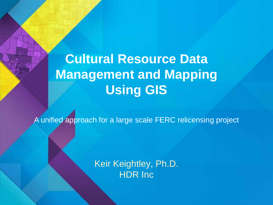# **Cultural Resource Data Management and Mapping Using GIS**

A unified approach for a large scale FERC relicensing project

Keir Keightley, Ph.D. HDR Inc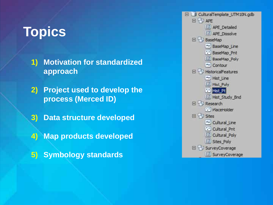## **Topics**

- **1) Motivation for standardized approach**
- **2) Project used to develop the process (Merced ID)**
- **3) Data structure developed**
- **4) Map products developed**
- **5) Symbology standards**

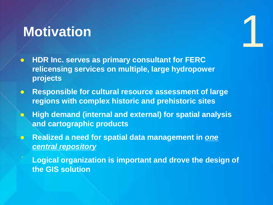### **Motivation**

- **HDR Inc. serves as primary consultant for FERC relicensing services on multiple, large hydropower projects**
- **Responsible for cultural resource assessment of large regions with complex historic and prehistoric sites**

1

- **High demand (internal and external) for spatial analysis and cartographic products**
- **Realized a need for spatial data management in** *one central repository*
- « **Logical organization is important and drove the design of the GIS solution**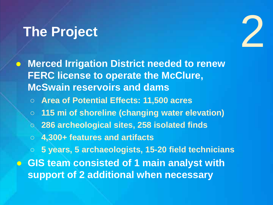## **The Project**



- **Merced Irrigation District needed to renew FERC license to operate the McClure, McSwain reservoirs and dams**
	- **Area of Potential Effects: 11,500 acres**
	- **115 mi of shoreline (changing water elevation)**
	- **286 archeological sites, 258 isolated finds**
	- **4,300+ features and artifacts**

○ **5 years, 5 archaeologists, 15-20 field technicians** ● **GIS team consisted of 1 main analyst with support of 2 additional when necessary**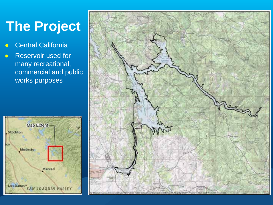# **The Project**

- **•** Central California
- Reservoir used for many recreational, commercial and public works purposes



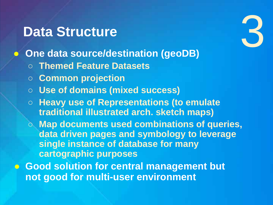#### **Data Structure**

- **One data source/destination (geoDB)**
	- **Themed Feature Datasets**
	- **Common projection**
	- **Use of domains (mixed success)**
	- **Heavy use of Representations (to emulate traditional illustrated arch. sketch maps)**
	- **Map documents used combinations of queries, data driven pages and symbology to leverage single instance of database for many cartographic purposes**

6

● **Good solution for central management but not good for multi-user environment**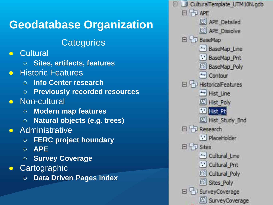#### **Geodatabase Organization**

#### **Categories**

- Cultural
	- **Sites, artifacts, features**
- **Historic Features** 
	- **Info Center research**
	- **Previously recorded resources**
- Non-cultural
	- **Modern map features**
	- **Natural objects (e.g. trees)**
- **•** Administrative
	- **FERC project boundary**
	- **APE**
	- **Survey Coverage**
- **•** Cartographic
	- **Data Driven Pages index**

CulturalTemplate\_UTM10N.gdb FI TI APF APE\_Detailed APE Dissolve 日中 BaseMao E BaseMap\_Line "BaseMap Pnt **BaseMap\_Poly** - Contour  $\Box$  HistoricalFeatures Hist Line **Ed Hist Poly By** Hist\_Pt Hist\_Study\_Bnd 日中Research \*\* PlaceHolder 日中 Sites - Cultural Line "." Cultural Pnt Cultural Poly Sites\_Poly SurveyCoverage SurveyCoverage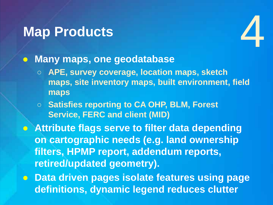## **Map Products**



#### ● **Many maps, one geodatabase**

- **APE, survey coverage, location maps, sketch maps, site inventory maps, built environment, field maps**
- **Satisfies reporting to CA OHP, BLM, Forest Service, FERC and client (MID)**

● **Attribute flags serve to filter data depending on cartographic needs (e.g. land ownership filters, HPMP report, addendum reports, retired/updated geometry).**

**• Data driven pages isolate features using page definitions, dynamic legend reduces clutter**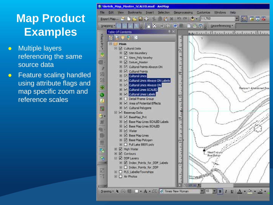- **•** Multiple layers referencing the same source data
- **•** Feature scaling handled using attribute flags and map specific zoom and reference scales

| Sketch Hap Master SCALED.mxd - ArcMap          |                                                            |                                                                                                                                    |              |                                                                                                             |  |  |  |
|------------------------------------------------|------------------------------------------------------------|------------------------------------------------------------------------------------------------------------------------------------|--------------|-------------------------------------------------------------------------------------------------------------|--|--|--|
| File:                                          | Edit<br>Bookmarks<br>Selection<br>View<br><b>Irset</b>     | Geoprocessing<br>Customize                                                                                                         | Windows Help |                                                                                                             |  |  |  |
|                                                | ExportMap of Britain Market Market Market Street + 1:1.760 |                                                                                                                                    |              | 国内市局商                                                                                                       |  |  |  |
| STAPPOTO B B B A B B B B B B C C C SCORECTED B |                                                            |                                                                                                                                    |              |                                                                                                             |  |  |  |
|                                                | $0 \times$                                                 |                                                                                                                                    |              |                                                                                                             |  |  |  |
|                                                | <b>Table Of Contents</b><br><b>DE 9 R</b>                  |                                                                                                                                    |              | 0.0 statutatal international international delighter                                                        |  |  |  |
| NTexisPro-                                     |                                                            |                                                                                                                                    |              |                                                                                                             |  |  |  |
|                                                | $H \equiv$ Main                                            |                                                                                                                                    |              |                                                                                                             |  |  |  |
|                                                | <b>E Ø</b> Cultural Data                                   |                                                                                                                                    |              |                                                                                                             |  |  |  |
|                                                | E V Site Boundary                                          |                                                                                                                                    |              |                                                                                                             |  |  |  |
|                                                | FI Sites Poly Nearby                                       |                                                                                                                                    |              |                                                                                                             |  |  |  |
| 自                                              | FI & Datum Master                                          |                                                                                                                                    |              |                                                                                                             |  |  |  |
| $\overline{\rho}$                              | El M Cultural Points Always ON<br>E M Cultural Points      |                                                                                                                                    |              |                                                                                                             |  |  |  |
| 28                                             | E M Cultural Lines                                         |                                                                                                                                    |              |                                                                                                             |  |  |  |
| 図                                              | E M Cultural Lines Always ON Labels                        |                                                                                                                                    |              |                                                                                                             |  |  |  |
|                                                | E M Cultural Lines Always ON                               |                                                                                                                                    |              |                                                                                                             |  |  |  |
| 編                                              | E M Outbral Lines SCALED                                   |                                                                                                                                    |              | Abandoned Boa                                                                                               |  |  |  |
| Q                                              | I V Cultural Lines Labels                                  |                                                                                                                                    |              |                                                                                                             |  |  |  |
| a                                              | E   Detail Frame Group                                     |                                                                                                                                    |              |                                                                                                             |  |  |  |
|                                                | I V Area of Potential Effects                              |                                                                                                                                    |              |                                                                                                             |  |  |  |
| 圈                                              | E M Cultural Polygons                                      |                                                                                                                                    |              |                                                                                                             |  |  |  |
|                                                | E M Basemap Data                                           |                                                                                                                                    |              |                                                                                                             |  |  |  |
| e.                                             | E M BaseMap_Prit                                           |                                                                                                                                    |              |                                                                                                             |  |  |  |
| 眉                                              | El Ø Base Map Lines SCALED Labels                          |                                                                                                                                    |              |                                                                                                             |  |  |  |
| a.                                             | E C Base Map Lines SCALED                                  |                                                                                                                                    |              |                                                                                                             |  |  |  |
|                                                | El V Water                                                 |                                                                                                                                    |              |                                                                                                             |  |  |  |
|                                                | El Ø Base Map Lines                                        |                                                                                                                                    |              |                                                                                                             |  |  |  |
| Ħ                                              | H & Base Map Polygon<br>El C Full Lake 880ft poly          |                                                                                                                                    |              |                                                                                                             |  |  |  |
|                                                | High Water                                                 |                                                                                                                                    |              |                                                                                                             |  |  |  |
| 中方                                             | E Contours                                                 |                                                                                                                                    |              |                                                                                                             |  |  |  |
|                                                | <b>E Ø</b> DDP Layers                                      |                                                                                                                                    | Boat Rui     |                                                                                                             |  |  |  |
| <b>TEST</b>                                    | El & Index Points for DDP Labels                           |                                                                                                                                    |              |                                                                                                             |  |  |  |
| <b>R</b>                                       | III Index Points for DDP                                   |                                                                                                                                    |              |                                                                                                             |  |  |  |
|                                                | <b>EE</b> PLS LabellerTownships                            |                                                                                                                                    |              |                                                                                                             |  |  |  |
| 湖                                              | <b><i>El</i></b> □ Air Photos                              | an tanka tan bahasa san tahun 134 menaturan dalam gama tanka kalam sama dalam dalam kalam dalam tana tana tan<br><b>CONTRACTOR</b> |              |                                                                                                             |  |  |  |
|                                                |                                                            |                                                                                                                                    |              |                                                                                                             |  |  |  |
| $-100$                                         |                                                            | $0$ in $2$ in $\bullet$                                                                                                            |              |                                                                                                             |  |  |  |
|                                                |                                                            |                                                                                                                                    | 图 10 图       | $B/I$ $\underline{U}$ $\underline{\Lambda}$ $\cdot$ $\underline{\circ}$ $\cdot$ $\underline{\circ}$ $\cdot$ |  |  |  |
|                                                |                                                            |                                                                                                                                    |              |                                                                                                             |  |  |  |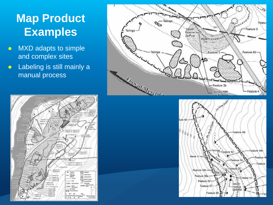- MXD adapts to simple and complex sites
- Labeling is still mainly a manual process





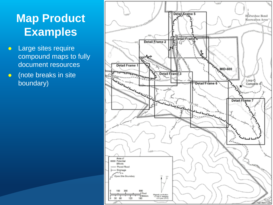- Large sites require compound maps to fully document resources
- (note breaks in site boundary)

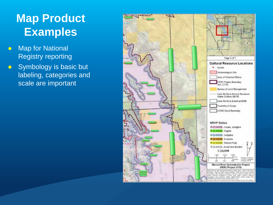- Map for National Registry reporting
- Symbology is basic but labeling, categories and scale are important

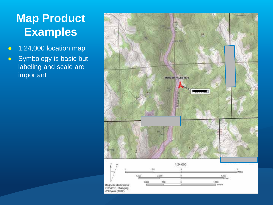- 1:24,000 location map
- Symbology is basic but labeling and scale are important

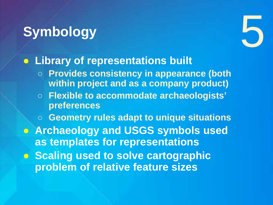# **Symbology**



#### ● **Library of representations built**

- **Provides consistency in appearance (both within project and as a company product)**
- **Flexible to accommodate archaeologists' preferences**

○ **Geometry rules adapt to unique situations** ● **Archaeology and USGS symbols used as templates for representations**  ● **Scaling used to solve cartographic problem of relative feature sizes**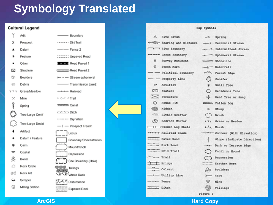#### **Symbology Translated**

#### **Cultural Legend**



| — soungary                          |  |
|-------------------------------------|--|
| Dirt Trail                          |  |
| x-Fence 2                           |  |
| <b>COLL</b> Unpaved Road            |  |
| Road Paved 1                        |  |
| Road Paved 2                        |  |
| -- Stream ephemeral                 |  |
| - Transmission Line2                |  |
| - Railroad                          |  |
| ∹ fTrail                            |  |
| sssss Canal                         |  |
| <b>TIT</b> Ditch                    |  |
| IHIII Dry Wash                      |  |
| I - Prospect Trench                 |  |
| $\Box$ Locus                        |  |
| Boundary/Concentration              |  |
| $\overline{\bigwedge}$ Mound/Knoll  |  |
| $\overline{\phantom{a}}$ Depression |  |
| Site Boundary (Halo)                |  |
| Tailings                            |  |
| <b>CD</b><br>Vlaste Rock            |  |
| < <sup>4</sup> Disturbance          |  |
| <b>Exposed Rock</b>                 |  |

| Map Symbols   |                                          |                        |                                 |  |
|---------------|------------------------------------------|------------------------|---------------------------------|--|
|               | A Site Datum                             |                        | $-0$ Spring                     |  |
|               | Bearing and Distance -- Perennial Stream |                        |                                 |  |
|               | Site Boundary                            |                        | -e---- Internittent Stream      |  |
|               | ---- Locus Boundary                      |                        | ----------- Epheneral Stream    |  |
|               | @ Survey Monument                        |                        | wasming Shoreline               |  |
|               | <b>8</b> Bench Mark                      |                        | -2 Waterfall                    |  |
|               | --- Political Boundary                   |                        | And Forest Edge                 |  |
|               | ----- Property Line                      |                        | $\sum_{i=1}^{n}$ Conifer        |  |
|               | OA Artifact                              |                        | * Small Tree                    |  |
|               | <b>CO</b> Feature                        |                        | O Deciduous Tree                |  |
|               | $\geq$ structure                         |                        | row Dead Tree or Snag           |  |
|               | O House Pit                              |                        | ammum Fallen Log                |  |
|               | <b>Silly</b> Midden                      |                        | ® Stump                         |  |
|               | <b>Will Lithic Scatter</b>               | $\circ$                | Brush                           |  |
|               | (V) Bedrock Mortar                       |                        | <b>v Vy</b> Grass or Meadow     |  |
|               |                                          |                        | i k Marsh                       |  |
|               | ******* Railroad Grade                   |                        | -Solo- Contour (With Elevation) |  |
|               | <b>Freeze</b> Paved Road                 |                        | Slope (Indicate Direction)      |  |
|               | $T =$ Dirt Road                          |                        | TYT Bank or Terrace Edge        |  |
|               | Skid Trail                               |                        | Knoll or Mound                  |  |
| errail Trail  |                                          |                        | Depression                      |  |
| $T$ Bridge    |                                          |                        | <b>Earthen</b> Berm             |  |
|               | Culvert                                  |                        | boulders                        |  |
|               | -0- Utility Line                         | $\rightharpoonup$ Cave |                                 |  |
| $-x-x-$ Fence |                                          | A Mine                 |                                 |  |
| Ditch         |                                          |                        | Tailings                        |  |
|               |                                          | Figure 1               |                                 |  |

#### **ArcGIS Hard Copy**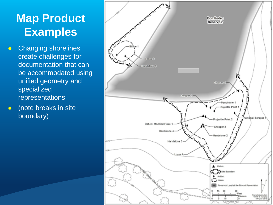- **Changing shorelines** create challenges for documentation that can be accommodated using unified geometry and specialized representations
- (note breaks in site boundary)

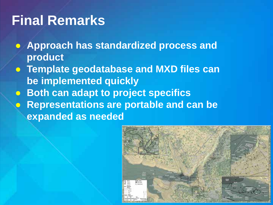# **Final Remarks**

- **Approach has standardized process and product**
- **Template geodatabase and MXD files can be implemented quickly**
- **Both can adapt to project specifics**
- **Representations are portable and can be expanded as needed**